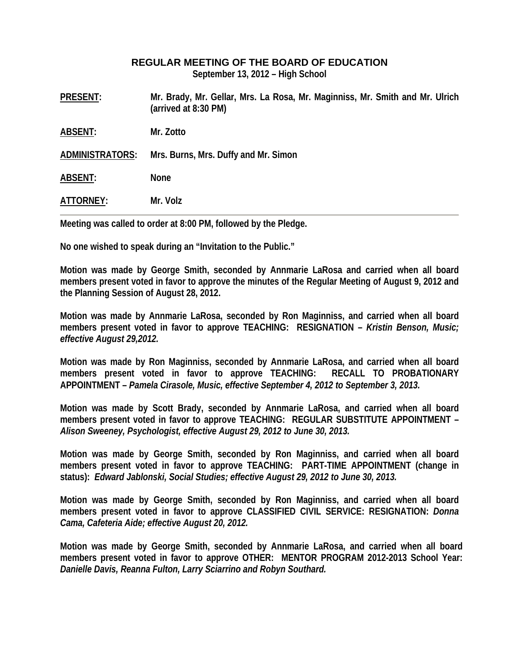## **REGULAR MEETING OF THE BOARD OF EDUCATION**

**September 13, 2012 – High School** 

**PRESENT: Mr. Brady, Mr. Gellar, Mrs. La Rosa, Mr. Maginniss, Mr. Smith and Mr. Ulrich (arrived at 8:30 PM)** 

**ABSENT: Mr. Zotto** 

**ADMINISTRATORS: Mrs. Burns, Mrs. Duffy and Mr. Simon** 

**ABSENT: None** 

**ATTORNEY: Mr. Volz** 

**Meeting was called to order at 8:00 PM, followed by the Pledge.** 

**No one wished to speak during an "Invitation to the Public."** 

**Motion was made by George Smith, seconded by Annmarie LaRosa and carried when all board members present voted in favor to approve the minutes of the Regular Meeting of August 9, 2012 and the Planning Session of August 28, 2012.** 

**Motion was made by Annmarie LaRosa, seconded by Ron Maginniss, and carried when all board members present voted in favor to approve TEACHING: RESIGNATION –** *Kristin Benson, Music; effective August 29,2012.* 

**Motion was made by Ron Maginniss, seconded by Annmarie LaRosa, and carried when all board members present voted in favor to approve TEACHING: RECALL TO PROBATIONARY APPOINTMENT –** *Pamela Cirasole, Music, effective September 4, 2012 to September 3, 2013.* 

**Motion was made by Scott Brady, seconded by Annmarie LaRosa, and carried when all board members present voted in favor to approve TEACHING: REGULAR SUBSTITUTE APPOINTMENT –**  *Alison Sweeney, Psychologist, effective August 29, 2012 to June 30, 2013.* 

**Motion was made by George Smith, seconded by Ron Maginniss, and carried when all board members present voted in favor to approve TEACHING: PART-TIME APPOINTMENT (change in status):** *Edward Jablonski, Social Studies; effective August 29, 2012 to June 30, 2013.* 

**Motion was made by George Smith, seconded by Ron Maginniss, and carried when all board members present voted in favor to approve CLASSIFIED CIVIL SERVICE: RESIGNATION:** *Donna Cama, Cafeteria Aide; effective August 20, 2012.* 

**Motion was made by George Smith, seconded by Annmarie LaRosa, and carried when all board members present voted in favor to approve OTHER: MENTOR PROGRAM 2012-2013 School Year:**  *Danielle Davis, Reanna Fulton, Larry Sciarrino and Robyn Southard.*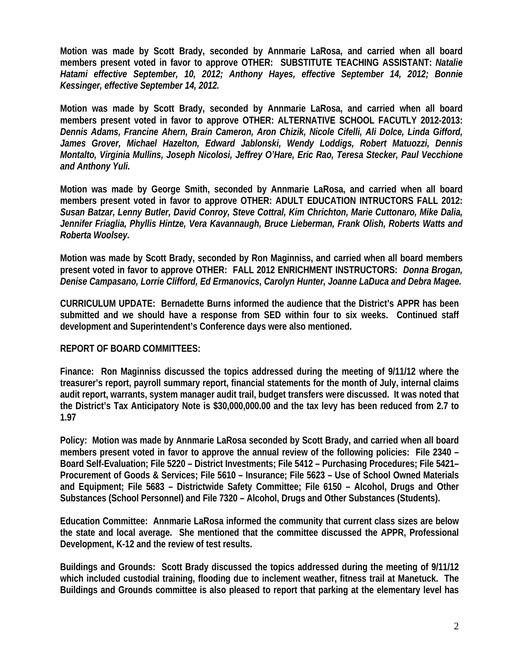**Motion was made by Scott Brady, seconded by Annmarie LaRosa, and carried when all board members present voted in favor to approve OTHER: SUBSTITUTE TEACHING ASSISTANT:** *Natalie Hatami effective September, 10, 2012; Anthony Hayes, effective September 14, 2012; Bonnie Kessinger, effective September 14, 2012.* 

**Motion was made by Scott Brady, seconded by Annmarie LaRosa, and carried when all board members present voted in favor to approve OTHER: ALTERNATIVE SCHOOL FACUTLY 2012-2013:**  *Dennis Adams, Francine Ahern, Brain Cameron, Aron Chizik, Nicole Cifelli, Ali Dolce, Linda Gifford, James Grover, Michael Hazelton, Edward Jablonski, Wendy Loddigs, Robert Matuozzi, Dennis Montalto, Virginia Mullins, Joseph Nicolosi, Jeffrey O'Hare, Eric Rao, Teresa Stecker, Paul Vecchione and Anthony Yuli.* 

**Motion was made by George Smith, seconded by Annmarie LaRosa, and carried when all board members present voted in favor to approve OTHER: ADULT EDUCATION INTRUCTORS FALL 2012:**  *Susan Batzar, Lenny Butler, David Conroy, Steve Cottral, Kim Chrichton, Marie Cuttonaro, Mike Dalia, Jennifer Friaglia, Phyllis Hintze, Vera Kavannaugh, Bruce Lieberman, Frank Olish, Roberts Watts and Roberta Woolsey.* 

**Motion was made by Scott Brady, seconded by Ron Maginniss, and carried when all board members present voted in favor to approve OTHER: FALL 2012 ENRICHMENT INSTRUCTORS:** *Donna Brogan, Denise Campasano, Lorrie Clifford, Ed Ermanovics, Carolyn Hunter, Joanne LaDuca and Debra Magee.* 

**CURRICULUM UPDATE: Bernadette Burns informed the audience that the District's APPR has been submitted and we should have a response from SED within four to six weeks. Continued staff development and Superintendent's Conference days were also mentioned.** 

## **REPORT OF BOARD COMMITTEES:**

**Finance: Ron Maginniss discussed the topics addressed during the meeting of 9/11/12 where the treasurer's report, payroll summary report, financial statements for the month of July, internal claims audit report, warrants, system manager audit trail, budget transfers were discussed. It was noted that the District's Tax Anticipatory Note is \$30,000,000.00 and the tax levy has been reduced from 2.7 to 1.97** 

**Policy: Motion was made by Annmarie LaRosa seconded by Scott Brady, and carried when all board members present voted in favor to approve the annual review of the following policies: File 2340 – Board Self-Evaluation; File 5220 – District Investments; File 5412 – Purchasing Procedures; File 5421– Procurement of Goods & Services; File 5610 – Insurance; File 5623 – Use of School Owned Materials and Equipment; File 5683 – Districtwide Safety Committee; File 6150 – Alcohol, Drugs and Other Substances (School Personnel) and File 7320 – Alcohol, Drugs and Other Substances (Students).** 

**Education Committee: Annmarie LaRosa informed the community that current class sizes are below the state and local average. She mentioned that the committee discussed the APPR, Professional Development, K-12 and the review of test results.** 

**Buildings and Grounds: Scott Brady discussed the topics addressed during the meeting of 9/11/12 which included custodial training, flooding due to inclement weather, fitness trail at Manetuck. The Buildings and Grounds committee is also pleased to report that parking at the elementary level has**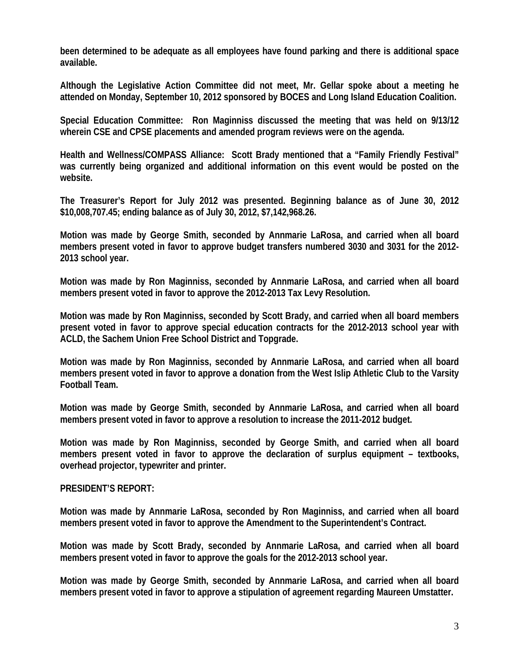**been determined to be adequate as all employees have found parking and there is additional space available.** 

**Although the Legislative Action Committee did not meet, Mr. Gellar spoke about a meeting he attended on Monday, September 10, 2012 sponsored by BOCES and Long Island Education Coalition.** 

**Special Education Committee: Ron Maginniss discussed the meeting that was held on 9/13/12 wherein CSE and CPSE placements and amended program reviews were on the agenda.** 

**Health and Wellness/COMPASS Alliance: Scott Brady mentioned that a "Family Friendly Festival" was currently being organized and additional information on this event would be posted on the website.** 

**The Treasurer's Report for July 2012 was presented. Beginning balance as of June 30, 2012 \$10,008,707.45; ending balance as of July 30, 2012, \$7,142,968.26.** 

**Motion was made by George Smith, seconded by Annmarie LaRosa, and carried when all board members present voted in favor to approve budget transfers numbered 3030 and 3031 for the 2012- 2013 school year.** 

**Motion was made by Ron Maginniss, seconded by Annmarie LaRosa, and carried when all board members present voted in favor to approve the 2012-2013 Tax Levy Resolution.** 

**Motion was made by Ron Maginniss, seconded by Scott Brady, and carried when all board members present voted in favor to approve special education contracts for the 2012-2013 school year with ACLD, the Sachem Union Free School District and Topgrade.** 

**Motion was made by Ron Maginniss, seconded by Annmarie LaRosa, and carried when all board members present voted in favor to approve a donation from the West Islip Athletic Club to the Varsity Football Team.** 

**Motion was made by George Smith, seconded by Annmarie LaRosa, and carried when all board members present voted in favor to approve a resolution to increase the 2011-2012 budget.** 

**Motion was made by Ron Maginniss, seconded by George Smith, and carried when all board members present voted in favor to approve the declaration of surplus equipment – textbooks, overhead projector, typewriter and printer.** 

## **PRESIDENT'S REPORT:**

**Motion was made by Annmarie LaRosa, seconded by Ron Maginniss, and carried when all board members present voted in favor to approve the Amendment to the Superintendent's Contract.** 

**Motion was made by Scott Brady, seconded by Annmarie LaRosa, and carried when all board members present voted in favor to approve the goals for the 2012-2013 school year.** 

**Motion was made by George Smith, seconded by Annmarie LaRosa, and carried when all board members present voted in favor to approve a stipulation of agreement regarding Maureen Umstatter.**